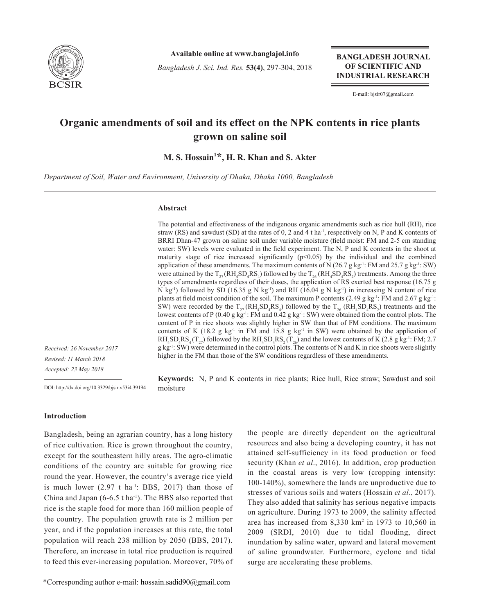

**Available online at www.banglajol.info**

*Bangladesh J. Sci. Ind. Res.* **53(4)**, 297-304, 2018

**BANGLADESH JOURNAL** OF SCIENTIFIC AND **INDUSTRIAL RESEARCH** 

E-mail: bjsir07@gmail.com

# **Organic amendments of soil and its effect on the NPK contents in rice plants grown on saline soil**

**M. S. Hossain<sup>1</sup> \*, H. R. Khan and S. Akter**

*Department of Soil, Water and Environment, University of Dhaka, Dhaka 1000, Bangladesh*

## **Abstract**

moisture

The potential and effectiveness of the indigenous organic amendments such as rice hull (RH), rice straw (RS) and sawdust (SD) at the rates of  $0$ , 2 and 4 t ha<sup>-1</sup>, respectively on N, P and K contents of BRRI Dhan-47 grown on saline soil under variable moisture (field moist: FM and 2-5 cm standing water: SW) levels were evaluated in the field experiment. The N, P and K contents in the shoot at maturity stage of rice increased significantly  $(p<0.05)$  by the individual and the combined application of these amendments. The maximum contents of N (26.7 g kg<sup>-1</sup>: FM and 25.7 g kg<sup>-1</sup>: SW) were attained by the  $T_{27}$ ( $RH_4SD_4RS_4$ ) followed by the  $T_{26}$  ( $RH_4SD_4RS_2$ ) treatments. Among the three types of amendments regardless of their doses, the application of RS exerted best response (16.75 g N kg<sup>-1</sup>) followed by SD (16.35 g N kg<sup>-1</sup>) and RH (16.04 g N kg<sup>-1</sup>) in increasing N content of rice plants at field moist condition of the soil. The maximum P contents (2.49 g kg<sup>-1</sup>: FM and 2.67 g kg<sup>-1</sup>: SW) were recorded by the  $T_{27}$ ( $RH_4SD_4RS_4$ ) followed by the  $T_{26}$  ( $RH_4SD_4RS_2$ ) treatments and the lowest contents of P (0.40 g kg<sup>-1</sup>: FM and 0.42 g kg<sup>-1</sup>: SW) were obtained from the control plots. The content of P in rice shoots was slightly higher in SW than that of FM conditions. The maximum contents of K (18.2 g kg<sup>-1</sup> in FM and 15.8 g kg<sup>-1</sup> in SW) were obtained by the application of  $RH_4SD_4RS_4(T_{27})$  followed by the  $RH_4SD_4RS_2(T_{26})$  and the lowest contents of K (2.8 g kg<sup>-1</sup>: FM; 2.7  $g$  kg<sup>-1</sup>: SW) were determined in the control plots. The contents of N and K in rice shoots were slightly higher in the FM than those of the SW conditions regardless of these amendments.

**Keywords:** N, P and K contents in rice plants; Rice hull, Rice straw; Sawdust and soil

*Received: 26 November 2017 Revised: 11 March 2018 Accepted: 23 May 2018*

DOI: http://dx.doi.org/10.3329/bjsir.v53i4.39194

# **Introduction**

Bangladesh, being an agrarian country, has a long history of rice cultivation. Rice is grown throughout the country, except for the southeastern hilly areas. The agro-climatic conditions of the country are suitable for growing rice round the year. However, the country's average rice yield is much lower  $(2.97 \text{ t} \text{ ha}^{-1})$ : BBS, 2017) than those of China and Japan  $(6-6.5 \text{ tha}^{-1})$ . The BBS also reported that rice is the staple food for more than 160 million people of the country. The population growth rate is 2 million per year, and if the population increases at this rate, the total population will reach 238 million by 2050 (BBS, 2017). Therefore, an increase in total rice production is required to feed this ever-increasing population. Moreover, 70% of the people are directly dependent on the agricultural resources and also being a developing country, it has not attained self-sufficiency in its food production or food security (Khan *et al*., 2016). In addition, crop production in the coastal areas is very low (cropping intensity: 100-140%), somewhere the lands are unproductive due to stresses of various soils and waters (Hossain *et al*., 2017). They also added that salinity has serious negative impacts on agriculture. During 1973 to 2009, the salinity affected area has increased from  $8,330 \text{ km}^2$  in 1973 to 10,560 in 2009 (SRDI, 2010) due to tidal flooding, direct inundation by saline water, upward and lateral movement of saline groundwater. Furthermore, cyclone and tidal surge are accelerating these problems.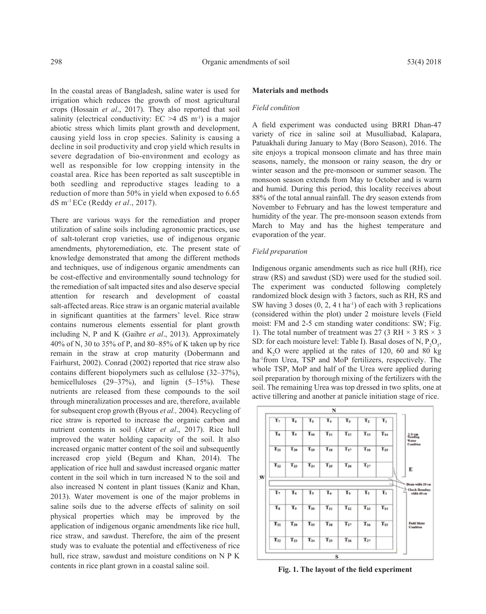In the coastal areas of Bangladesh, saline water is used for irrigation which reduces the growth of most agricultural crops (Hossain *et al*., 2017). They also reported that soil salinity (electrical conductivity:  $EC > 4$  dS m<sup>-1</sup>) is a major abiotic stress which limits plant growth and development, causing yield loss in crop species. Salinity is causing a decline in soil productivity and crop yield which results in severe degradation of bio-environment and ecology as well as responsible for low cropping intensity in the coastal area. Rice has been reported as salt susceptible in both seedling and reproductive stages leading to a reduction of more than 50% in yield when exposed to 6.65 dS m-1 ECe (Reddy *et al*., 2017).

There are various ways for the remediation and proper utilization of saline soils including agronomic practices, use of salt-tolerant crop varieties, use of indigenous organic amendments, phytoremediation, etc. The present state of knowledge demonstrated that among the different methods and techniques, use of indigenous organic amendments can be cost-effective and environmentally sound technology for the remediation of salt impacted sites and also deserve special attention for research and development of coastal salt-affected areas. Rice straw is an organic material available in significant quantities at the farmers' level. Rice straw contains numerous elements essential for plant growth including N, P and K (Gaihre *et al*., 2013). Approximately 40% of N, 30 to 35% of P, and 80–85% of K taken up by rice remain in the straw at crop maturity (Dobermann and Fairhurst, 2002). Conrad (2002) reported that rice straw also contains different biopolymers such as cellulose (32–37%), hemicelluloses (29–37%), and lignin (5–15%). These nutrients are released from these compounds to the soil through mineralization processes and are, therefore, available for subsequent crop growth (Byous *et al.,* 2004). Recycling of rice straw is reported to increase the organic carbon and nutrient contents in soil (Akter *et al*., 2017). Rice hull improved the water holding capacity of the soil. It also increased organic matter content of the soil and subsequently increased crop yield (Begum and Khan, 2014). The application of rice hull and sawdust increased organic matter content in the soil which in turn increased N to the soil and also increased N content in plant tissues (Kaniz and Khan, 2013). Water movement is one of the major problems in saline soils due to the adverse effects of salinity on soil physical properties which may be improved by the application of indigenous organic amendments like rice hull, rice straw, and sawdust. Therefore, the aim of the present study was to evaluate the potential and effectiveness of rice hull, rice straw, sawdust and moisture conditions on N P K contents in rice plant grown in a coastal saline soil.

# **Materials and methods**

## *Field condition*

A field experiment was conducted using BRRI Dhan-47 variety of rice in saline soil at Musulliabad, Kalapara, Patuakhali during January to May (Boro Season), 2016. The site enjoys a tropical monsoon climate and has three main seasons, namely, the monsoon or rainy season, the dry or winter season and the pre-monsoon or summer season. The monsoon season extends from May to October and is warm and humid. During this period, this locality receives about 88% of the total annual rainfall. The dry season extends from November to February and has the lowest temperature and humidity of the year. The pre-monsoon season extends from March to May and has the highest temperature and evaporation of the year.

#### *Field preparation*

Indigenous organic amendments such as rice hull (RH), rice straw (RS) and sawdust (SD) were used for the studied soil. The experiment was conducted following completely randomized block design with 3 factors, such as RH, RS and SW having 3 doses  $(0, 2, 4$  t ha<sup>-1</sup>) of each with 3 replications (considered within the plot) under 2 moisture levels (Field moist: FM and 2-5 cm standing water conditions: SW; Fig. 1). The total number of treatment was 27 (3 RH  $\times$  3 RS  $\times$  3 SD: for each moisture level: Table I). Basal doses of N,  $P_2O_5$ , and  $K_2O$  were applied at the rates of 120, 60 and 80 kg ha<sup>-1</sup>from Urea, TSP and MoP fertilizers, respectively. The whole TSP, MoP and half of the Urea were applied during soil preparation by thorough mixing of the fertilizers with the soil. The remaining Urea was top dressed in two splits, one at active tillering and another at panicle initiation stage of rice.



 **Fig. 1. The layout of the field experiment**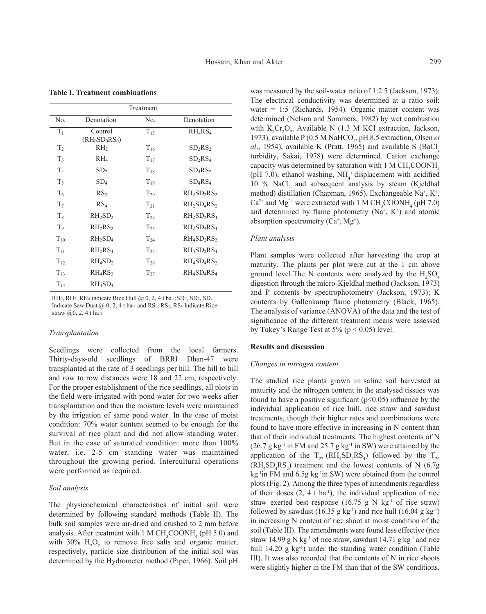|                |                                 | Treatment |                                                 |
|----------------|---------------------------------|-----------|-------------------------------------------------|
| No.            | Denotation                      | No.       | Denotation                                      |
| $T_1$          | Control<br>$(RH_0SD_0RS_0)$     | $T_{15}$  | $RH_4RS_4$                                      |
| T <sub>2</sub> | RH <sub>2</sub>                 | $T_{16}$  | SD <sub>2</sub> RS <sub>2</sub>                 |
| T <sub>3</sub> | $RH_4$                          | $T_{17}$  | SD <sub>2</sub> RS <sub>4</sub>                 |
| T <sub>4</sub> | SD <sub>2</sub>                 | $T_{18}$  | $SD_4RS_2$                                      |
| $T_5$          | SD <sub>4</sub>                 | $T_{19}$  | $SD_4RS_4$                                      |
| $T_6$          | RS <sub>2</sub>                 | $T_{20}$  | $RH2SD2RS2$                                     |
| T <sub>7</sub> | RS <sub>4</sub>                 | $T_{21}$  | $RH2SD4RS2$                                     |
| $\rm T_{8}$    | $RH_2SD_2$                      | $T_{22}$  | $RH_2SD_2RS_4$                                  |
| T <sub>9</sub> | RH <sub>2</sub> RS <sub>2</sub> | $T_{23}$  | $RH2SD4RS4$                                     |
| $T_{10}$       | $RH_2SD_4$                      | $T_{24}$  | $RH4SD2RS2$                                     |
| $T_{11}$       | RH <sub>2</sub> RS <sub>4</sub> | $T_{25}$  | $RH4SD2RS4$                                     |
| $T_{12}$       | RH <sub>4</sub> SD <sub>2</sub> | $T_{26}$  | $RH4SD4RS2$                                     |
| $T_{13}$       | $RH_4RS_2$                      | $T_{27}$  | RH <sub>4</sub> SD <sub>4</sub> RS <sub>4</sub> |
| $T_{14}$       | RH <sub>4</sub> SD <sub>4</sub> |           |                                                 |

**Table I. Treatment combinations**

RH0, RH2, RH4 indicate Rice Hull @ 0, 2, 4 t ha-1;SD0, SD2, SD4 Indicate Saw Dust  $(a, 0, 2, 4$  t ha-1 and RS<sub>0</sub>, RS<sub>2</sub>, RS<sub>4</sub> Indicate Rice straw @0, 2, 4 t ha-1

#### *Transplantation*

Seedlings were collected from the local farmers. Thirty-days-old seedlings of BRRI Dhan-47 were transplanted at the rate of 3 seedlings per hill. The hill to hill and row to row distances were 18 and 22 cm, respectively. For the proper establishment of the rice seedlings, all plots in the field were irrigated with pond water for two weeks after transplantation and then the moisture levels were maintained by the irrigation of same pond water. In the case of moist condition: 70% water content seemed to be enough for the survival of rice plant and did not allow standing water. But in the case of saturated condition: more than 100% water, i.e. 2-5 cm standing water was maintained throughout the growing period. Intercultural operations were performed as required.

#### *Soil analysis*

The physicochemical characteristics of initial soil were determined by following standard methods (Table II). The bulk soil samples were air-dried and crushed to 2 mm before analysis. After treatment with 1 M  $CH_3COONH_4$  (pH 5.0) and with 30%  $H_2O_2$  to remove free salts and organic matter, respectively, particle size distribution of the initial soil was determined by the Hydrometer method (Piper, 1966). Soil pH

was measured by the soil-water ratio of 1:2.5 (Jackson, 1973). The electrical conductivity was determined at a ratio soil: water = 1:5 (Richards, 1954). Organic matter content was determined (Nelson and Sommers, 1982) by wet combustion with  $K_2Cr_2O_7$ . Available N (1.3 M KCl extraction, Jackson, 1973), available P (0.5 M NaHCO<sub>3</sub>, pH 8.5 extraction, Olsen *et*  $al_{1}$ , 1954), available K (Pratt, 1965) and available S (BaCl<sub>2</sub>) turbidity, Sakai, 1978) were determined. Cation exchange capacity was determined by saturation with  $1 M CH_3COONH_4$ (pH 7.0), ethanol washing,  $NH<sub>4</sub>$ <sup>+</sup> displacement with acidified 10 % NaCl, and subsequent analysis by steam (Kjeldhal method) distillation (Chapman, 1965). Exchangeable Na<sup>+</sup>, K<sup>+</sup>,  $Ca^{2+}$  and Mg<sup>2+</sup> were extracted with 1 M CH<sub>3</sub>COONH<sub>4</sub> (pH 7.0) and determined by flame photometry  $(Na^+, K^+)$  and atomic absorption spectrometry  $(Ca^+, Mg^+)$ .

#### *Plant analysis*

Plant samples were collected after harvesting the crop at maturity. The plants per plot were cut at the 1 cm above ground level. The N contents were analyzed by the  $H_2SO_4$ digestion through the micro-Kjeldhal method (Jackson, 1973) and P contents by spectrophotometry (Jackson, 1973); K contents by Gallenkamp flame photometry (Black, 1965). The analysis of variance (ANOVA) of the data and the test of significance of the different treatment means were assessed by Tukey's Range Test at  $5\%$  (p < 0.05) level.

#### **Results and discussion**

#### *Changes in nitrogen content*

The studied rice plants grown in saline soil harvested at maturity and the nitrogen content in the analysed tissues was found to have a positive significant  $(p<0.05)$  influence by the individual application of rice hull, rice straw and sawdust treatments, though their higher rates and combinations were found to have more effective in increasing in N content than that of their individual treatments. The highest contents of N  $(26.7 \text{ g kg}^{-1} \text{ in FM and } 25.7 \text{ g kg}^{-1} \text{ in SW})$  were attained by the application of the  $T_{27}$  (RH<sub>4</sub>SD<sub>4</sub>RS<sub>4</sub>) followed by the  $T_{26}$  $(RH_4SD_4RS_2)$  treatment and the lowest contents of N (6.7g)  $kg<sup>-1</sup>$ in FM and 6.5g kg<sup>-1</sup>in SW) were obtained from the control plots (Fig. 2). Among the three types of amendments regardless of their doses  $(2, 4 \t{t} \text{ ha}^{-1})$ , the individual application of rice straw exerted best response  $(16.75 \text{ g N kg}^{-1} \text{ of } r\text{ice} \text{ straw})$ followed by sawdust  $(16.35 \text{ g kg}^{-1})$  and rice hull  $(16.04 \text{ g kg}^{-1})$ in increasing N content of rice shoot at moist condition of the soil (Table III). The amendments were found less effective (rice straw 14.99 g N kg<sup>-1</sup> of rice straw, sawdust 14.71 g kg<sup>-1</sup> and rice hull 14.20 g kg<sup>-1</sup>) under the standing water condition (Table III). It was also recorded that the contents of N in rice shoots were slightly higher in the FM than that of the SW conditions,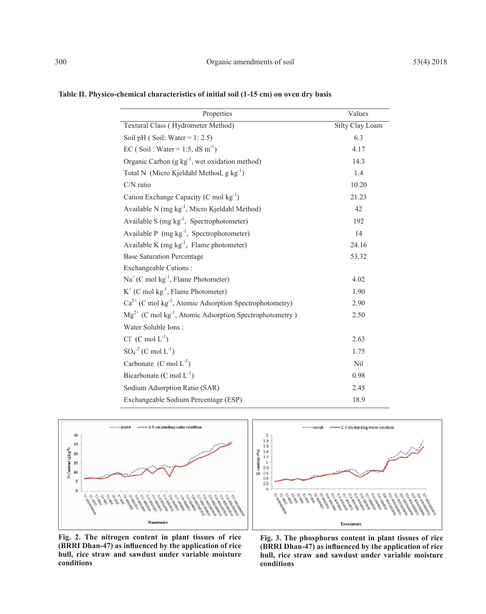| Properties                                                               | Values          |
|--------------------------------------------------------------------------|-----------------|
| Textural Class (Hydrometer Method)                                       | Silty Clay Loam |
| Soil pH (Soil: Water = $1: 2.5$ )                                        | 6.3             |
| EC (Soil: Water = 1:5, dS m <sup>-1</sup> )                              | 4.17            |
| Organic Carbon (g kg <sup>-1</sup> , wet oxidation method)               | 14.3            |
| Total N (Micro Kjeldahl Method, g kg <sup>-1</sup> )                     | 1.4             |
| C/N ratio                                                                | 10.20           |
| Cation Exchange Capacity (C mol kg <sup>-1</sup> )                       | 21.23           |
| Available N (mg kg <sup>-1</sup> , Micro Kjeldahl Method)                | 42              |
| Available S $(mg kg^{-1}$ , Spectrophotometer)                           | 192             |
| Available P $(mg kg^{-1})$ , Spectrophotometer)                          | 14              |
| Available K (mg kg <sup>-1</sup> , Flame photometer)                     | 24.16           |
| <b>Base Saturation Percentage</b>                                        | 53.32           |
| Exchangeable Cations:                                                    |                 |
| $Na+(C mol kg-1, Flame Photometer)$                                      | 4.02            |
| $K^+$ (C mol $kg^{-1}$ , Flame Photometer)                               | 1.90            |
| $Ca^{2+}$ (C mol kg <sup>-1</sup> , Atomic Adsorption Spectrophotometry) | 2.90            |
| $Mg^{2+}$ (C mol kg <sup>-1</sup> , Atomic Adsorption Spectrophotometry) | 2.50            |
| Water Soluble Ions:                                                      |                 |
| $Cl^-(C \text{ mol } L^{-1})$                                            | 2.63            |
| $SO_4^2$ (C mol $L^{-1}$ )                                               | 1.75            |
| Carbonate $(C \text{ mol } L^{-1})$                                      | Nil             |
| Bicarbonate (C mol $L^{-1}$ )                                            | 0.98            |
| Sodium Adsorption Ratio (SAR)                                            | 2.45            |
| Exchangeable Sodium Percentage (ESP)                                     | 18.9            |

**Table II. Physico-chemical characteristics of initial soil (1-15 cm) on oven dry basis**





**Fig. 2. The nitrogen content in plant tissues of rice (BRRI Dhan-47) as influenced by the application of rice hull, rice straw and sawdust under variable moisture conditions**

**Fig. 3. The phosphorus content in plant tissues of rice (BRRI Dhan-47) as influenced by the application of rice hull, rice straw and sawdust under variable moisture conditions**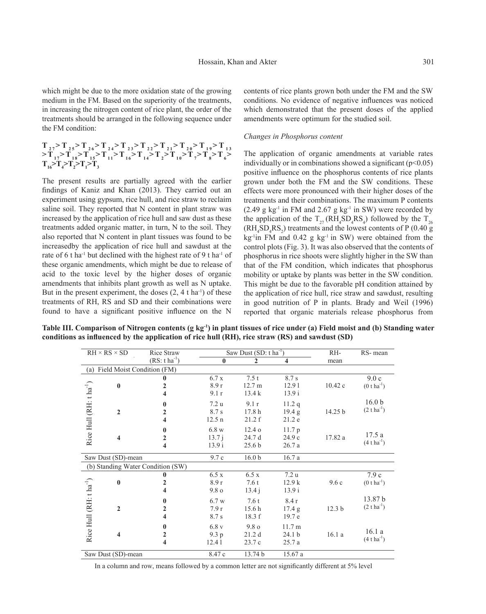which might be due to the more oxidation state of the growing medium in the FM. Based on the superiority of the treatments, in increasing the nitrogen content of rice plant, the order of the treatments should be arranged in the following sequence under the FM condition:

$$
\begin{array}{l} T_{_{27}}\!\!>\!T_{_{25}}\!\!>\!T_{_{26}}\!\!>\!T_{_{26}}\!\!>\!T_{_{24}}\!\!>\!T_{_{23}}\!\!>\!T_{_{22}}\!\!>\!T_{_{21}}\!\!>\!T_{_{20}}\!\!>\!T_{_{19}}\!\!>\!T_{_{13}}\!\!>\!T_{_{13}}\!\!>\!T_{_{14}}\!\!>\!T_{_{16}}\!\!>\!T_{_{14}}\!\!>\!T_{_{2}}\!\!>\!T_{_{10}}\!\!>\!T_{_{17}}\!\!>\!T_{_{18}}\!\!>\!T_{_{15}}\!\!>\!T_{_{16}}\!\!>\!T_{_{17}}\!\!>\!T_{_{18}}\!\!>\!T_{_{17}}\!\!>\!T_{_{18}}\!\!>\!T_{_{16}}\!\!>\!T_{_{17}}\!\!>\!T_{_{18}}\!\!>\!T_{_{16}}\!\!>\!T_{_{17}}\!\!>\!T_{_{18}}\!\!>\!T_{_{18}}\!\!>\!T_{_{18}}\!\!>\!T_{_{19}}\!\!>\!T_{_{10}}\!\!>\!T_{_{18}}\!\!>\!T_{_{18}}\!\!>\!T_{_{19}}\!\!>\!T_{_{10}}\!\!>\!T_{_{10}}\!\!>\!T_{_{10}}\!\!>\!T_{_{10}}\!\!>\!T_{_{10}}\!\!>\!T_{_{10}}\!\!>\!T_{_{10}}\!\!>\!T_{_{10}}\!\!>\!T_{_{10}}\!\!>\!T_{_{10}}\!\!>\!T_{_{10}}\!\!>\!T_{_{10}}\!\!>\!T_{_{11}}\!\!>\!T_{_{12}}\!\!>\!T_{_{13}}\!\!>\!T_{_{14}}\!\!>\!T_{_{15}}\!\!>\!T_{_{16}}\!\!>\!T_{_{17}}\!\!>\!T_{_{18}}\!\!>\!T_{_{18}}\!\!>\!T_{_{19}}\!\!>\!T_{_{10}}\!\!>\!T_{_{10}}\!\!>\!T_{_{10}}\!\!>\!T_{_{10}}\!\!>\!T_{_{10}}\!\!>\!T_{_{10}}\!\!>\!T_{_{10}}\!\!>\!T_{_{10}}\!\!>\!T_{_{10}}
$$

The present results are partially agreed with the earlier findings of Kaniz and Khan (2013). They carried out an experiment using gypsum, rice hull, and rice straw to reclaim saline soil. They reported that N content in plant straw was increased by the application of rice hull and saw dust as these treatments added organic matter, in turn, N to the soil. They also reported that N content in plant tissues was found to be increasedby the application of rice hull and sawdust at the rate of 6 t ha<sup>-1</sup> but declined with the highest rate of 9 t ha<sup>-1</sup> of these organic amendments, which might be due to release of acid to the toxic level by the higher doses of organic amendments that inhibits plant growth as well as N uptake. But in the present experiment, the doses  $(2, 4 \text{ t ha}^{-1})$  of these treatments of RH, RS and SD and their combinations were found to have a significant positive influence on the N

contents of rice plants grown both under the FM and the SW conditions. No evidence of negative influences was noticed which demonstrated that the present doses of the applied amendments were optimum for the studied soil.

#### *Changes in Phosphorus content*

The application of organic amendments at variable rates individually or in combinations showed a significant  $(p<0.05)$ positive influence on the phosphorus contents of rice plants grown under both the FM and the SW conditions. These effects were more pronounced with their higher doses of the treatments and their combinations. The maximum P contents  $(2.49 \text{ g kg}^{-1} \text{ in FM and } 2.67 \text{ g kg}^{-1} \text{ in SW})$  were recorded by the application of the  $T_{27}$  (RH<sub>4</sub>SD<sub>4</sub>RS<sub>4</sub>) followed by the  $T_{26}$  $(RH_4SD_4RS_2)$  treatments and the lowest contents of P (0.40 g)  $kg$ <sup>-1</sup>in FM and 0.42 g kg<sup>-1</sup> in SW) were obtained from the control plots (Fig. 3). It was also observed that the contents of phosphorus in rice shoots were slightly higher in the SW than that of the FM condition, which indicates that phosphorus mobility or uptake by plants was better in the SW condition. This might be due to the favorable pH condition attained by the application of rice hull, rice straw and sawdust, resulting in good nutrition of P in plants. Brady and Weil (1996) reported that organic materials release phosphorus from

**Table III. Comparison of Nitrogen contents (g kg-1) in plant tissues of rice under (a) Field moist and (b) Standing water conditions as influenced by the application of rice hull (RH), rice straw (RS) and sawdust (SD)**

|                                     | $RH \times RS \times SD$ | Rice Straw                     | Saw Dust $(SD: t ha^{-1})$ |                   | RH-               | RS-mean           |                            |
|-------------------------------------|--------------------------|--------------------------------|----------------------------|-------------------|-------------------|-------------------|----------------------------|
|                                     |                          | $(RS: t ha^{-1})$              | $\mathbf{0}$               | 2                 | 4                 | mean              |                            |
|                                     |                          | (a) Field Moist Condition (FM) |                            |                   |                   |                   |                            |
|                                     |                          | 0                              | 6.7x                       | 7.5t              | 8.7 s             |                   | 9.0c                       |
|                                     | $\bf{0}$                 | 2                              | 8.9r                       | 12.7 m            | 12.91             | 10.42c            | $(0 \t{t} \text{ha}^{-1})$ |
|                                     |                          | 4                              | 9.1 r                      | 13.4k             | 13.9 i            |                   |                            |
|                                     |                          | 0                              | 7.2 <sub>u</sub>           | 9.1r              | 11.2q             |                   | 16.0 <sub>b</sub>          |
|                                     | $\overline{2}$           | 2                              | 8.7 s                      | 17.8 <sub>h</sub> | 19.4 g            | 14.25 b           | $(2 \t{t} \text{ha}^{-1})$ |
| Rice Hull (RH: t ha <sup>-1</sup> ) |                          | 4                              | 12.5 <sub>n</sub>          | 21.2 f            | 21.2 e            |                   |                            |
|                                     |                          | 0                              | 6.8 w                      | $12.4\,\sigma$    | 11.7p             |                   |                            |
|                                     | $\overline{\mathbf{4}}$  | 2                              | 13.7 i                     | 24.7 d            | 24.9c             | 17.82 a           | 17.5a                      |
|                                     |                          | 4                              | 13.9 i                     | 25.6 <sub>b</sub> | 26.7a             |                   | $(4 \t{t} \text{ha}^{-1})$ |
| Saw Dust (SD)-mean                  |                          |                                | 9.7c                       | 16.0 <sub>b</sub> | 16.7a             |                   |                            |
| (b) Standing Water Condition (SW)   |                          |                                |                            |                   |                   |                   |                            |
|                                     |                          | 0                              | 6.5 x                      | 6.5x              | 7.2 u             |                   | 7.9c                       |
|                                     | $\bf{0}$                 | 2                              | 8.9r                       | 7.6t              | 12.9k             | 9.6c              | $(0 \t{t} \text{ha}^{-1})$ |
|                                     |                          | 4                              | 9.8 <sub>o</sub>           | 13.4 i            | 13.9 i            |                   |                            |
|                                     |                          | 0                              | 6.7 w                      | 7.6t              | 8.4r              |                   | 13.87 <sub>b</sub>         |
|                                     | $\overline{2}$           | 2                              | 7.9r                       | 15.6 <sub>h</sub> | 17.4 g            | 12.3 <sub>b</sub> | $(2 \t{t} \text{ha}^{-1})$ |
|                                     |                          | 4                              | 8.7 s                      | 18.3 f            | 19.7 e            |                   |                            |
| Rice Hull (RH: t ha <sup>-1</sup> ) |                          | 0                              | 6.8v                       | $9.8\,\mathrm{o}$ | 11.7 m            |                   |                            |
|                                     | $\overline{\mathbf{4}}$  | $\overline{2}$                 | 9.3 p                      | 21.2d             | 24.1 <sub>b</sub> | 16.1a             | 16.1a                      |
|                                     |                          | 4                              | 12.41                      | 23.7 c            | 25.7a             |                   | $(4 \t{tha}^{-1})$         |
| Saw Dust (SD)-mean                  |                          | 8.47 c                         | 13.74 b                    | 15.67 a           |                   |                   |                            |

In a column and row, means followed by a common letter are not significantly different at 5% level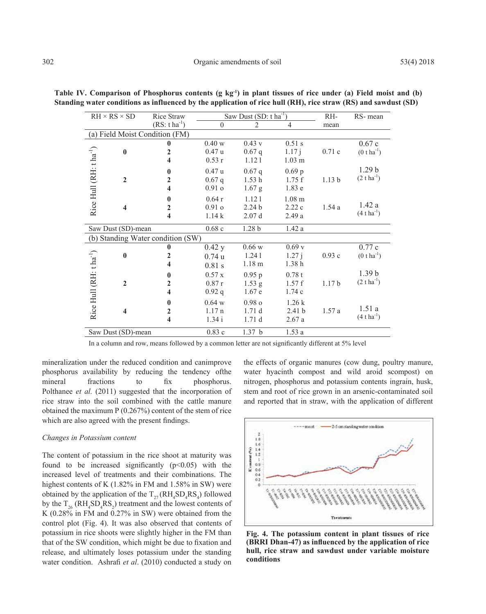|                                     | $RH \times RS \times SD$ | Rice Straw              | Saw Dust $(SD: t ha^{-1})$ |                   |                   | RH-               | RS-mean                    |
|-------------------------------------|--------------------------|-------------------------|----------------------------|-------------------|-------------------|-------------------|----------------------------|
|                                     |                          | $(RS: t ha^{-1})$       | $\Omega$                   | $\mathcal{D}$     | $\overline{4}$    | mean              |                            |
| (a) Field Moist Condition (FM)      |                          |                         |                            |                   |                   |                   |                            |
|                                     |                          | $\bf{0}$                | 0.40 w                     | 0.43 v            | $0.51$ s          |                   | 0.67c                      |
|                                     | $\bf{0}$                 | $\overline{2}$          | 0.47u                      | $0.67$ q          | 1.17j             | 0.71c             | $(0 \t{t} \text{ha}^{-1})$ |
|                                     |                          | $\overline{\mathbf{4}}$ | 0.53r                      | 1.121             | $1.03$ m          |                   |                            |
|                                     |                          | $\bf{0}$                | 0.47u                      | $0.67$ q          | 0.69 <sub>p</sub> |                   | 1.29 <sub>b</sub>          |
|                                     | $\overline{2}$           | $\overline{2}$          | $0.67$ q                   | 1.53h             | 1.75f             | 1.13 <sub>b</sub> | $(2 \t{t} \text{ha}^{-1})$ |
|                                     |                          | 4                       | 0.91 <sub>o</sub>          | $1.67$ g          | 1.83e             |                   |                            |
| Rice Hull (RH: t ha <sup>-1</sup> ) |                          | $\bf{0}$                | 0.64r                      | 1.121             | 1.08 <sub>m</sub> |                   |                            |
|                                     | 4                        | $\boldsymbol{2}$        | 0.91 <sub>o</sub>          | 2.24 <sub>b</sub> | 2.22c             | 1.54a             | 1.42a                      |
|                                     |                          | $\overline{\mathbf{4}}$ | 1.14k                      | 2.07d             | 2.49a             |                   | $(4 \t{tha}^{-1})$         |
|                                     | Saw Dust (SD)-mean       |                         | 0.68c                      | 1.28 <sub>b</sub> | 1.42a             |                   |                            |
| (b) Standing Water condition (SW)   |                          |                         |                            |                   |                   |                   |                            |
|                                     |                          | $\mathbf{0}$            | $0.42$ y                   | $0.66\le$         | 0.69v             |                   | 0.77c                      |
|                                     | $\bf{0}$                 | $\overline{2}$          | 0.74u                      | 1.241             | 1.27 i            | 0.93c             | $(0 \t{t} \text{ha}^{-1})$ |
|                                     |                          | 4                       | $0.81$ s                   | 1.18 <sub>m</sub> | 1.38h             |                   |                            |
|                                     |                          | $\bf{0}$                | 0.57 x                     | 0.95 p            | 0.78t             |                   | 1.39 <sub>b</sub>          |
|                                     | $\overline{2}$           | $\overline{2}$          | 0.87r                      | $1.53$ g          | 1.57f             | 1.17 <sub>b</sub> | $(2 \t{t} \text{ha}^{-1})$ |
| Rice Hull (RH: tha <sup>-1</sup> )  |                          | 4                       | 0.92 q                     | 1.67 e            | 1.74c             |                   |                            |
|                                     |                          | $\bf{0}$                | 0.64 w                     | 0.98 <sub>o</sub> | 1.26k             |                   |                            |
|                                     | 4                        | $\overline{2}$          | 1.17n                      | 1.71d             | 2.41 <sub>b</sub> | 1.57a             | 1.51a                      |
|                                     |                          | $\overline{\mathbf{4}}$ | 1.34i                      | 1.71d             | 2.67a             |                   | $(4 \t{tha}^{-1})$         |
| Saw Dust (SD)-mean                  |                          |                         | 0.83c                      | 1.37 <sub>b</sub> | 1.53a             |                   |                            |

Table IV. Comparison of Phosphorus contents (g kg<sup>-1</sup>) in plant tissues of rice under (a) Field moist and (b) **Standing water conditions as influenced by the application of rice hull (RH), rice straw (RS) and sawdust (SD)**

In a column and row, means followed by a common letter are not significantly different at 5% level

mineralization under the reduced condition and canimprove phosphorus availability by reducing the tendency ofthe mineral fractions to fix phosphorus. Polthanee *et al.* (2011) suggested that the incorporation of rice straw into the soil combined with the cattle manure obtained the maximum P (0.267%) content of the stem of rice which are also agreed with the present findings.

#### *Changes in Potassium content*

The content of potassium in the rice shoot at maturity was found to be increased significantly  $(p<0.05)$  with the increased level of treatments and their combinations. The highest contents of K (1.82% in FM and 1.58% in SW) were obtained by the application of the  $T_{27}$ (RH<sub>4</sub>SD<sub>4</sub>RS<sub>4</sub>) followed by the  $T_{26}$  ( $RH_4SD_4RS_2$ ) treatment and the lowest contents of K (0.28% in FM and 0.27% in SW) were obtained from the control plot (Fig. 4). It was also observed that contents of potassium in rice shoots were slightly higher in the FM than that of the SW condition, which might be due to fixation and release, and ultimately loses potassium under the standing water condition. Ashrafi *et al*. (2010) conducted a study on

the effects of organic manures (cow dung, poultry manure, water hyacinth compost and wild aroid scompost) on nitrogen, phosphorus and potassium contents ingrain, husk, stem and root of rice grown in an arsenic-contaminated soil and reported that in straw, with the application of different



**Fig. 4. The potassium content in plant tissues of rice (BRRI Dhan-47) as influenced by the application of rice hull, rice straw and sawdust under variable moisture conditions**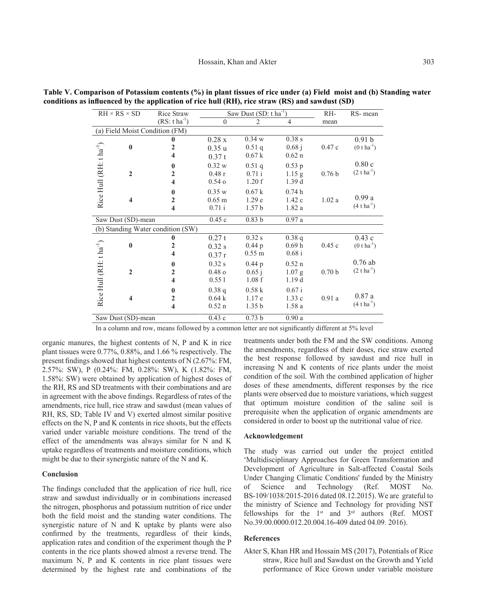| $RH \times RS \times SD$            | Rice Straw                        | Saw Dust $(SD: t ha^{-1})$ |                      |                   | RH-               | RS-mean                    |  |  |
|-------------------------------------|-----------------------------------|----------------------------|----------------------|-------------------|-------------------|----------------------------|--|--|
|                                     | $(RS: t ha^{-1})$                 | 0                          | $\overline{2}$       | 4                 | mean              |                            |  |  |
|                                     | (a) Field Moist Condition (FM)    |                            |                      |                   |                   |                            |  |  |
|                                     | $\bf{0}$                          | 0.28x                      | 0.34 w               | 0.38s             |                   | 0.91 <sub>b</sub>          |  |  |
| $\bf{0}$                            | $\overline{2}$                    | 0.35u                      | 0.51q                | 0.68j             | 0.47c             | $(0 \t{t} \text{ha}^{-1})$ |  |  |
|                                     | 4                                 | 0.37 t                     | 0.67k                | $0.62$ n          |                   |                            |  |  |
|                                     | $\mathbf{0}$                      | 0.32 w                     | 0.51q                | $0.53$ p          |                   | 0.80c                      |  |  |
| $\mathbf{2}$                        | 2                                 | 0.48r                      | 0.71 i               | $1.15$ g          | 0.76 <sub>b</sub> | $(2 \t{t} \text{ha}^{-1})$ |  |  |
| Rice Hull $(RH: tha^{-1})$          | $\overline{\mathbf{4}}$           | $0.54 \text{ o}$           | 1.20 f               | 1.39d             |                   |                            |  |  |
|                                     | $\mathbf{0}$                      | 0.35 w                     | 0.67k                | 0.74h             |                   |                            |  |  |
| $\overline{\mathbf{4}}$             | $\overline{2}$                    | $0.65$ m                   | 1.29 <sub>e</sub>    | 1.42c             | 1.02a             | 0.99a                      |  |  |
|                                     | $\overline{\mathbf{4}}$           | $0.71$ i                   | 1.57 <sub>b</sub>    | 1.82a             |                   | $(4 \t{t} \text{ha}^{-1})$ |  |  |
| Saw Dust (SD)-mean                  |                                   | 0.45c                      | 0.83 <sub>b</sub>    | 0.97a             |                   |                            |  |  |
|                                     | (b) Standing Water condition (SW) |                            |                      |                   |                   |                            |  |  |
|                                     | $\bf{0}$                          | 0.27t                      | $0.32$ s             | 0.38q             |                   | 0.43c                      |  |  |
| $\mathbf{0}$                        | $\mathbf{2}$                      | 0.32 s                     | 0.44p                | 0.69 <sub>h</sub> | 0.45c             | $(0 \t{t} \text{ha}^{-1})$ |  |  |
| Rice Hull (RH: t ha <sup>-1</sup> ) | 4                                 | 0.37r                      | $0.55 \; \mathrm{m}$ | 0.68 i            |                   |                            |  |  |
|                                     | $\mathbf{0}$                      | 0.32 s                     | $0.44\,\mathrm{p}$   | $0.52$ n          |                   | $0.76$ ab                  |  |  |
| $\overline{2}$                      | $\overline{2}$                    | 0.48 <sub>o</sub>          | 0.65 i               | 1.07 <sub>g</sub> | 0.70 <sub>b</sub> | $(2 \t{t} \text{ha}^{-1})$ |  |  |
|                                     | 4                                 | 0.551                      | 1.08 f               | 1.19d             |                   |                            |  |  |
|                                     | $\mathbf{0}$                      | 0.38q                      | 0.58k                | 0.67 i            |                   |                            |  |  |
| $\overline{\mathbf{4}}$             | $\overline{2}$                    | 0.64k                      | 1.17e                | 1.33c             | 0.91a             | 0.87a                      |  |  |
|                                     | $\overline{\mathbf{4}}$           | $0.52$ n                   | 1.35 <sub>b</sub>    | 1.58a             |                   | $(4 \t{tha}^{-1})$         |  |  |
| Saw Dust (SD)-mean                  |                                   | 0.43c                      | 0.73 <sub>b</sub>    | 0.90a             |                   |                            |  |  |

**Table V. Comparison of Potassium contents (%) in plant tissues of rice under (a) Field moist and (b) Standing water conditions as influenced by the application of rice hull (RH), rice straw (RS) and sawdust (SD)**

In a column and row, means followed by a common letter are not significantly different at 5% level

organic manures, the highest contents of N, P and K in rice plant tissues were 0.77%, 0.88%, and 1.66 % respectively. The present findings showed that highest contents of N (2.67%: FM, 2.57%: SW), P (0.24%: FM, 0.28%: SW), K (1.82%: FM, 1.58%: SW) were obtained by application of highest doses of the RH, RS and SD treatments with their combinations and are in agreement with the above findings. Regardless of rates of the amendments, rice hull, rice straw and sawdust (mean values of RH, RS, SD; Table IV and V) exerted almost similar positive effects on the N, P and K contents in rice shoots, but the effects varied under variable moisture conditions. The trend of the effect of the amendments was always similar for N and K uptake regardless of treatments and moisture conditions, which might be due to their synergistic nature of the N and K.

#### **Conclusion**

The findings concluded that the application of rice hull, rice straw and sawdust individually or in combinations increased the nitrogen, phosphorus and potassium nutrition of rice under both the field moist and the standing water conditions. The synergistic nature of N and K uptake by plants were also confirmed by the treatments, regardless of their kinds, application rates and condition of the experiment though the P contents in the rice plants showed almost a reverse trend. The maximum N, P and K contents in rice plant tissues were determined by the highest rate and combinations of the

treatments under both the FM and the SW conditions. Among the amendments, regardless of their doses, rice straw exerted the best response followed by sawdust and rice hull in increasing N and K contents of rice plants under the moist condition of the soil. With the combined application of higher doses of these amendments, different responses by the rice plants were observed due to moisture variations, which suggest that optimum moisture condition of the saline soil is prerequisite when the application of organic amendments are considered in order to boost up the nutritional value of rice.

#### **Acknowledgement**

The study was carried out under the project entitled 'Multidisciplinary Approaches for Green Transformation and Development of Agriculture in Salt-affected Coastal Soils Under Changing Climatic Conditions' funded by the Ministry of Science and Technology (Ref. MOST No. BS-109/1038/2015-2016 dated 08.12.2015). We are grateful to the ministry of Science and Technology for providing NST fellowships for the  $1<sup>st</sup>$  and  $3<sup>rd</sup>$  authors (Ref. MOST No.39.00.0000.012.20.004.16-409 dated 04.09. 2016).

#### **References**

Akter S, Khan HR and Hossain MS (2017), Potentials of Rice straw, Rice hull and Sawdust on the Growth and Yield performance of Rice Grown under variable moisture